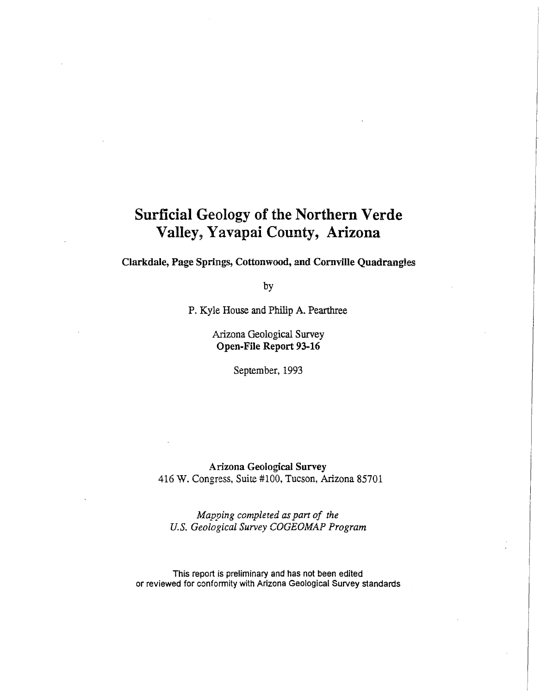# Surficial Geology of the Northern Verde Valley, Yavapai County, Arizona

### Clarkdale, Page Springs, Cottonwood, and Cornville Quadrang!es

by

P. Kyle House and Philip A. Pearthree

Arizona Geological Survey Open-File Report 93~16

September, 1993

Arizona Geological Survey 416 W. Congress, Suite #100, Tucson, Arizona 85701

*Mapping completed as part of the U.S. Geological Survey COGEOMAP Program*

This report is preliminary and has not been edited or reviewed for conformity with Arizona Geological Survey standards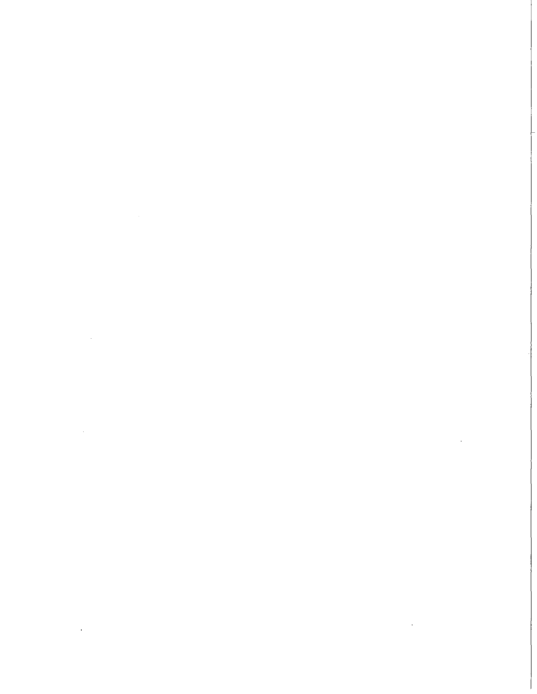$\label{eq:2.1} \frac{1}{\sqrt{2}}\int_{\mathbb{R}^3}\frac{1}{\sqrt{2}}\left(\frac{1}{\sqrt{2}}\right)^2\frac{1}{\sqrt{2}}\left(\frac{1}{\sqrt{2}}\right)^2\frac{1}{\sqrt{2}}\left(\frac{1}{\sqrt{2}}\right)^2\frac{1}{\sqrt{2}}\left(\frac{1}{\sqrt{2}}\right)^2.$  $\label{eq:2.1} \frac{1}{\sqrt{2}}\int_{\mathbb{R}^3}\frac{1}{\sqrt{2}}\left(\frac{1}{\sqrt{2}}\right)^2\frac{1}{\sqrt{2}}\left(\frac{1}{\sqrt{2}}\right)^2\frac{1}{\sqrt{2}}\left(\frac{1}{\sqrt{2}}\right)^2\frac{1}{\sqrt{2}}\left(\frac{1}{\sqrt{2}}\right)^2.$ 

 $\mathcal{L}^{\text{max}}_{\text{max}}$  and  $\mathcal{L}^{\text{max}}_{\text{max}}$  $\mathcal{L}(\mathcal{A})$  .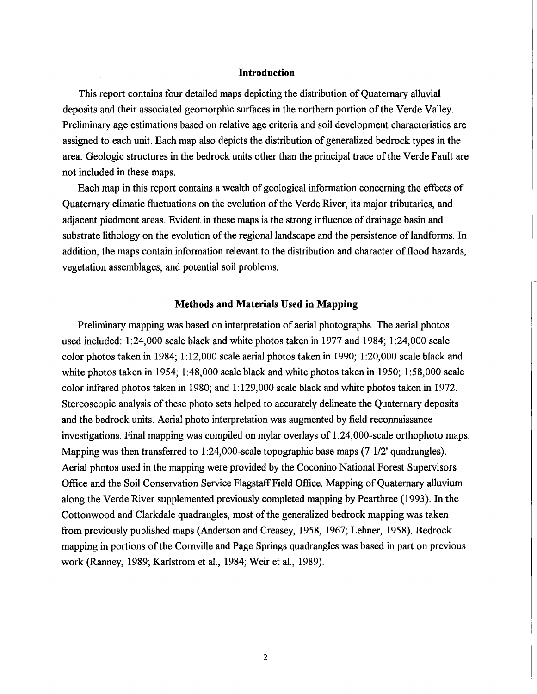### **Introduction**

This report contains four detailed maps depicting the distribution of Quaternary alluvial deposits and their associated geomorphic surfaces in the northern portion ofthe Verde Valley. Preliminary age estimations based on relative age criteria and soil development characteristics are assigned to each unit. Each map also depicts the distribution of generalized bedrock types in the area. Geologic structures in the bedrock units other than the principal trace of the Verde Fault are not included in these maps.

Each map in this report contains a wealth of geological information concerning the effects of Quaternary climatic fluctuations on the evolution of the Verde River, its major tributaries, and adjacent piedmont areas. Evident in these maps is the strong influence of drainage basin and substrate lithology on the evolution of the regional landscape and the persistence of landforms. In addition, the maps contain information relevant to the distribution and character offlood hazards, vegetation assemblages, and potential soil problems.

# **Methods and Materials Used in Mapping**

Preliminary mapping was based on interpretation of aerial photographs. The aerial photos used included: 1:24,000 scale black and white photos taken in 1977 and 1984; 1:24,000 scale color photos taken in 1984; 1: 12,000 scale aerial photos taken in 1990; 1:20,000 scale black and white photos taken in 1954; 1:48,000 scale black and white photos taken in 1950; 1:58,000 scale color infrared photos taken in 1980; and 1: 129,000 scale black and white photos taken in 1972. Stereoscopic analysis of these photo sets helped to accurately delineate the Quaternary deposits and the bedrock units. Aerial photo interpretation was augmented by field reconnaissance investigations. Final mapping was compiled on mylar overlays of 1:24,000-scale orthophoto maps. Mapping was then transferred to 1:24,000-scale topographic base maps (7 1/2' quadrangles). Aerial photos used in the mapping were provided by the Coconino National Forest Supervisors Office and the Soil Conservation Service Flagstaff Field Office. Mapping of Quaternary alluvium along the Verde River supplemented previously completed mapping by Pearthree (1993). In the Cottonwood and Clarkdale quadrangles, most of the generalized bedrock mapping was taken from previously published maps (Anderson and Creasey, 1958, 1967; Lehner, 1958). Bedrock mapping in portions ofthe Cornville and Page Springs quadrangles was based in part on previous work (Ranney, 1989; Karlstrom et aI., 1984; Weir et aI., 1989).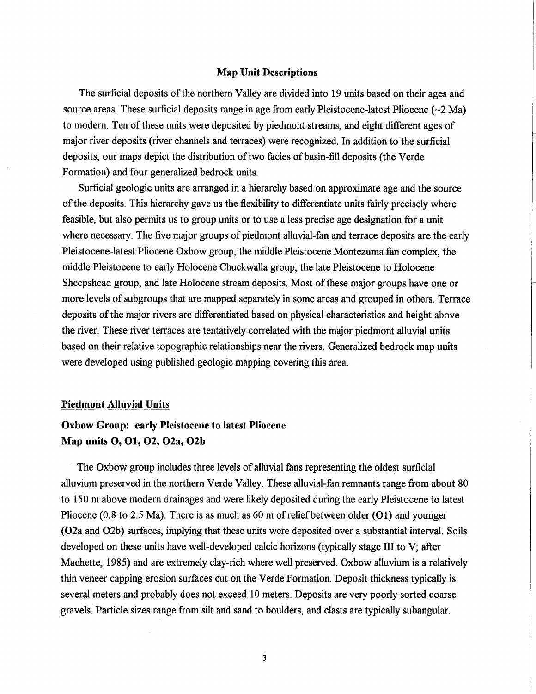### Map Unit Descriptions

The surficial deposits of the northern Valley are divided into 19 units based on their ages and source areas. These surficial deposits range in age from early Pleistocene-latest Pliocene  $(\sim 2 \text{ Ma})$ to modern. Ten of these units were deposited by piedmont streams, and eight different ages of major river deposits (river channels and terraces) were recognized. In addition to the surficial deposits, our maps depict the distribution of two facies of basin-fill deposits (the Verde Formation) and four generalized bedrock units.

Surficial geologic units are arranged in a hierarchy based on approximate age and the source of the deposits. This hierarchy gave us the flexibility to differentiate units fairly precisely where feasible, but also permits us to group units or to use a less precise age designation for a unit where necessary. The five major groups of piedmont alluvial-fan and terrace deposits are the early Pleistocene-latest Pliocene Oxbow group, the middle Pleistocene Montezuma fan complex, the middle Pleistocene to early Holocene Chuckwalla group, the late Pleistocene to Holocene Sheepshead group, and late Holocene stream deposits. Most of these major groups have one or more levels of subgroups that are mapped separately in some areas and grouped in others. Terrace deposits of the major rivers are differentiated based on physical characteristics and height above the river. These river terraces are tentatively correlated with the major piedmont alluvial units based on their relative topographic relationships near the rivers. Generalized bedrock map units were developed using published geologic mapping covering this area.

### Piedmont Alluvial Units

# Oxbow Group: early Pleistocene to latest Pliocene Map units 0, 01, 02, 02a, 02b

The Oxbow group includes three levels of alluvial fans representing the oldest surficial alluvium preserved in the northern Verde Valley. These alluvial-fan remnants range from about 80 to 150 m above modern drainages and were likely deposited during the early Pleistocene to latest Pliocene (0.8 to 2.5 Ma). There is as much as 60 m of relief between older (O1) and younger (02a and 02b) surfaces, implying that these units were deposited over a substantial interval. Soils developed on these units have well-developed calcic horizons (typically stage III to V; after Machette, 1985) and are extremely clay-rich where well preserved. Oxbow alluvium is a relatively thin veneer capping erosion surfaces cut on the Verde Formation. Deposit thickness typically is several meters and probably does not exceed 10 meters. Deposits are very poorly sorted coarse gravels. Particle sizes range from silt and sand to boulders, and clasts are typically subangular.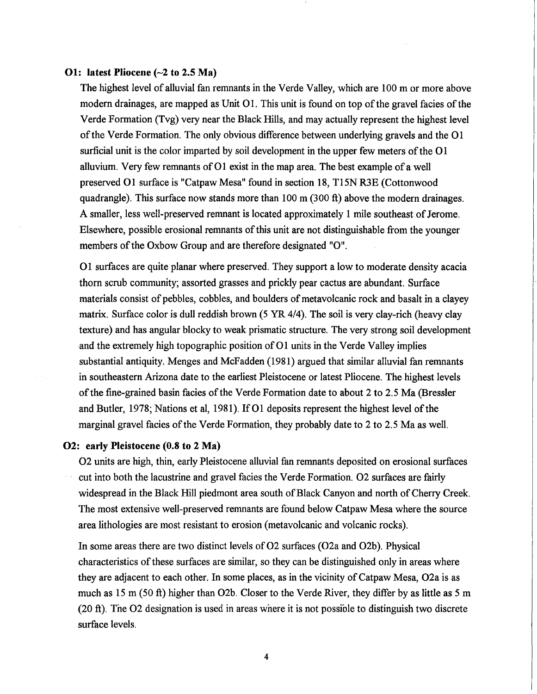#### O1: latest Pliocene  $(-2 \text{ to } 2.5 \text{ Ma})$

The highest level of alluvial fan remnants in the Verde Valley, which are 100 m or more above modern drainages, are mapped as Unit  $O1$ . This unit is found on top of the gravel facies of the Verde Formation (Tvg) very near the Black Hills, and may actually represent the highest level of the Verde Formation. The only obvious difference between underlying gravels and the O1 surficial unit is the color imparted by soil development in the upper few meters of the O1 alluvium. Very few remnants of  $O1$  exist in the map area. The best example of a well preserved 01 surface is "Catpaw Mesa" found in section 18, T15N R3E (Cottonwood quadrangle). This surface now stands more than 100 m (300 ft) above the modem drainages. A smaller, less well-preserved remnant is located approximately 1 mile southeast of Jerome. Elsewhere, possible erosional remnants of this unit are not distinguishable from the younger members of the Oxbow Group and are therefore designated "O".

O1 surfaces are quite planar where preserved. They support a low to moderate density acacia thorn scrub community; assorted grasses and prickly pear cactus are abundant. Surface materials consist of pebbles, cobbles, and boulders of metavolcanic rock and basalt in a clayey matrix. Surface color is dull reddish brown (5 YR 4/4). The soil is very clay-rich (heavy clay texture) and has angular blocky to weak prismatic structure. The very strong soil development and the extremely high topographic position of  $O1$  units in the Verde Valley implies substantial antiquity. Menges and McFadden (1981) argued that similar alluvial fan remnants in southeastern Arizona date to the earliest Pleistocene or latest Pliocene. The highest levels of the fine-grained basin facies of the Verde Formation date to about 2 to 2.5 Ma (Bressler and Butler, 1978; Nations et al, 1981). If O1 deposits represent the highest level of the marginal gravel facies of the Verde Formation, they probably date to 2 to 2.5 Ma as well.

### 02: early Pleistocene (0.8 to 2 Ma)

02 units are high, thin, early Pleistocene alluvial fan remnants deposited on erosional surfaces cut into both the lacustrine and gravel facies the Verde Formation. 02 surfaces are fairly widespread in the Black Hill piedmont area south of Black Canyon and north of Cherry Creek. The most extensive well-preserved remnants are found below Catpaw Mesa where the source area lithologies are most resistant to erosion (metavolcanic and volcanic rocks).

In some areas there are two distinct levels of 02 surfaces (02a and 02b). Physical characteristics of these surfaces are similar, so they can be distinguished only in areas where they are adjacent to each other. In some places, as in the vicinity of Catpaw Mesa, O2a is as much as 15 m (50 ft) higher than 02b. Closer to the Verde River, they differ by as little as 5 m (20 ft). Tne 02 designation is used in areas wnere it is not possiole to distinguish two discrete surface levels.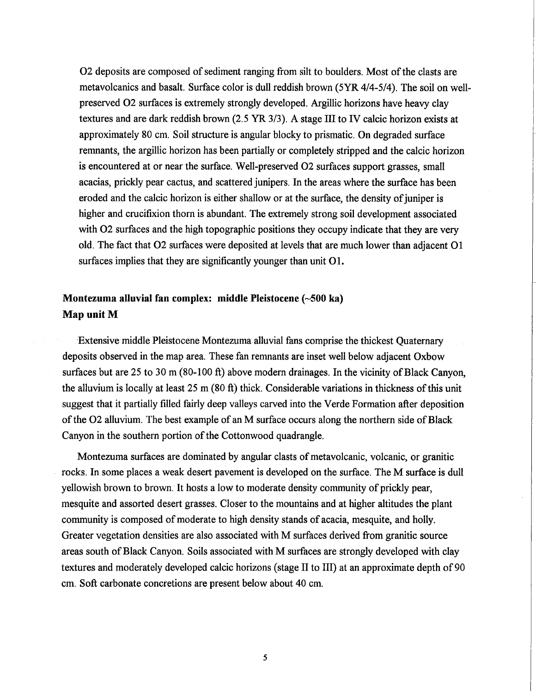O2 deposits are composed of sediment ranging from silt to boulders. Most of the clasts are metavolcanics and basalt. Surface color is dull reddish brown (5YR 4/4-5/4). The soil on wellpreserved 02 surfaces is extremely strongly developed. Argillic horizons have heavy clay textures and are dark reddish brown (2.5 YR 3/3). A stage III to IV calcic horizon exists at approximately 80 cm. Soil structure is angular blocky to prismatic. On degraded surface remnants, the argillic horizon has been partially or completely stripped and the calcic horizon is encountered at or near the surface. Well-preserved 02 surfaces support grasses, small acacias, prickly pear cactus, and scattered junipers. In the areas where the surface has been eroded and the calcic horizon is either shallow or at the surface, the density of juniper is higher and crucifixion thorn is abundant. The extremely strong soil development associated with 02 surfaces and the high topographic positions they occupy indicate that they are very old. The fact that 02 surfaces were deposited at levels that are much lower than adjacent 01 surfaces implies that they are significantly younger than unit O1.

# Montezuma alluvial fan complex: middle Pleistocene (~500 ka) Map unit M

Extensive middle Pleistocene Montezuma alluvial fans comprise the thickest Quaternary deposits observed in the map area. These fan remnants are inset well below adjacent Oxbow surfaces but are  $25$  to  $30$  m (80-100 ft) above modern drainages. In the vicinity of Black Canyon, the alluvium is locally at least 25 m (80 ft) thick. Considerable variations in thickness ofthis unit suggest that it partially filled fairly deep valleys carved into the Verde Formation after deposition of the O2 alluvium. The best example of an M surface occurs along the northern side of Black Canyon in the southern portion of the Cottonwood quadrangle.

Montezuma surfaces are dominated by angular clasts of metavolcanic, volcanic, or granitic rocks, In some places a weak desert pavement is developed on the surface. The M surface is dull yellowish brown to brown. It hosts a low to moderate density community of prickly pear, mesquite and assorted desert grasses. Closer to the mountains and at higher altitudes the plant community is composed of moderate to high density stands of acacia, mesquite, and holly. Greater vegetation densities are also associated with M surfaces derived from granitic source areas south of Black Canyon. Soils associated with M surfaces are strongly developed with clay textures and moderately developed calcic horizons (stage II to III) at an approximate depth of 90 cm. Soft carbonate concretions are present below about 40 cm.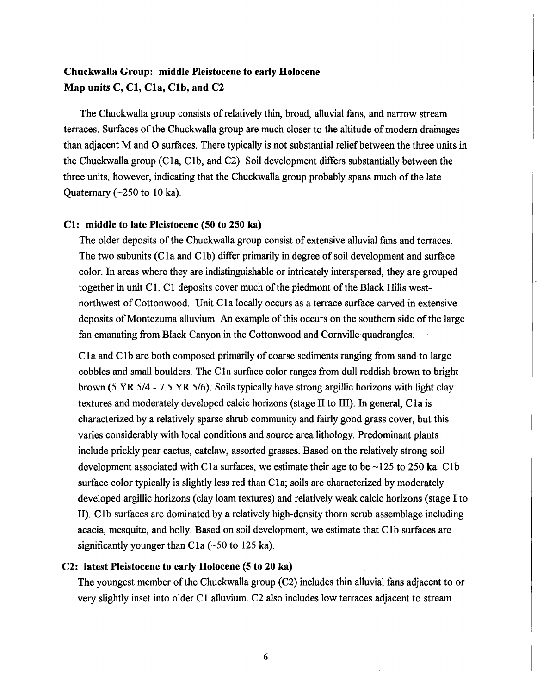# Chuckwalla Group: middle Pleistocene to early Holocene Map units C, C1, C1a, C1b, and C2

The Chuckwalla group consists of relatively thin, broad, alluvial fans, and narrow stream terraces. Surfaces of the Chuckwalla group are much closer to the altitude of modern drainages than adjacent M and O surfaces. There typically is not substantial relief between the three units in the Chuckwalla group (CIa, CIb, and C2). Soil development differs substantially between the three units, however, indicating that the Chuckwalla group probably spans much of the late Quaternary  $(\sim 250 \text{ to } 10 \text{ ka})$ .

### CI: middle to late Pleistocene (50 to 250 ka)

The older deposits of the Chuckwalla group consist of extensive alluvial fans and terraces. The two subunits (C1a and C1b) differ primarily in degree of soil development and surface color. In areas where they are indistinguishable or intricately interspersed, they are grouped together in unit C1. C1 deposits cover much of the piedmont of the Black Hills westnorthwest of Cottonwood. Unit C1a locally occurs as a terrace surface carved in extensive deposits of Montezuma alluvium. An example of this occurs on the southern side of the large fan emanating from Black Canyon in the Cottonwood and Cornville quadrangles.

CIa and C1b are both composed primarily of coarse sediments ranging from sand to large cobbles and small boulders. The CIa surface color ranges from dull reddish brown to bright brown (5 YR 5/4 - 7.5 YR 5/6). Soils typically have strong argillic horizons with light clay textures and moderately developed calcic horizons (stage II to III). In general, CIa is characterized by a relatively sparse shrub community and fairly good grass cover, but this varies considerably with local conditions and source area lithology. Predominant plants include prickly pear cactus, catclaw, assorted grasses. Based on the relatively strong soil development associated with C1a surfaces, we estimate their age to be  $\sim$ 125 to 250 ka. C1b surface color typically is slightly less red than CIa; soils are characterized by moderately developed argillic horizons (clay loam textures) and relatively weak calcic horizons (stage I to II). Cib surfaces are dominated by a relatively high-density thorn scrub assemblage including acacia, mesquite, and holly. Based on soil development, we estimate that Cib surfaces are significantly younger than C<sub>1</sub>a ( $\sim$ 50 to 125 ka).

# C2: latest Pleistocene to early Holocene (5 to 20 ka)

The youngest member of the Chuckwalla group  $(C2)$  includes thin alluvial fans adjacent to or very slightly inset into older CI alluvium. C2 also includes low terraces adjacent to stream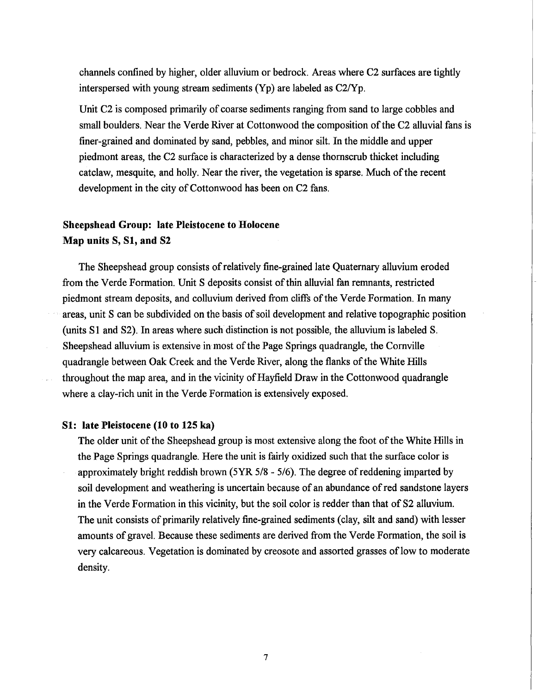channels confined by higher, older alluvium or bedrock. Areas where C2 surfaces are tightly interspersed with young stream sediments (Yp) are labeled as C2/Yp.

Unit C2 is composed primarily of coarse sediments ranging from sand to large cobbles and small boulders. Near the Verde River at Cottonwood the composition of the C2 alluvial fans is finer-grained and dominated by sand, pebbles, and minor silt. In the middle and upper piedmont areas, the C2 surface is characterized by a dense thornscrub thicket including catclaw, mesquite, and holly. Near the river, the vegetation is sparse. Much of the recent development in the city of Cottonwood has been on C2 fans.

# Sheepshead Group: late Pleistocene to Holocene Map units S, SI, and S2

The Sheepshead group consists of relatively fine-grained late Quaternary alluvium eroded from the Verde Formation. Unit S deposits consist of thin alluvial fan remnants, restricted piedmont stream deposits, and colluvium derived from cliffs of the Verde Formation. In many areas, unit S can be subdivided on the basis ofsoil development and relative topographic position (units SI and S2). In areas where such distinction is not possible, the alluvium is labeled S. Sheepshead alluvium is extensive in most of the Page Springs quadrangle, the Cornville quadrangle between Oak Creek and the Verde River, along the flanks of the White Hills throughout the map area, and in the vicinity of Hayfield Draw in the Cottonwood quadrangle where a clay-rich unit in the Verde Formation is extensively exposed.

# SI: late Pleistocene (10 to 125 ka)

The older unit of the Sheepshead group is most extensive along the foot of the White Hills in the Page Springs quadrangle. Here the unit is fairly oxidized such that the surface color is approximately bright reddish brown  $(5YR 5/8 - 5/6)$ . The degree of reddening imparted by soil development and weathering is uncertain because of an abundance ofred sandstone layers in the Verde Formation in this vicinity, but the soil color is redder than that of S2 alluvium. The unit consists of primarily relatively fine-grained sediments (clay, silt and sand) with lesser amounts of gravel. Because these sediments are derived from the Verde Formation, the soil is very calcareous. Vegetation is dominated by creosote and assorted grasses of low to moderate density.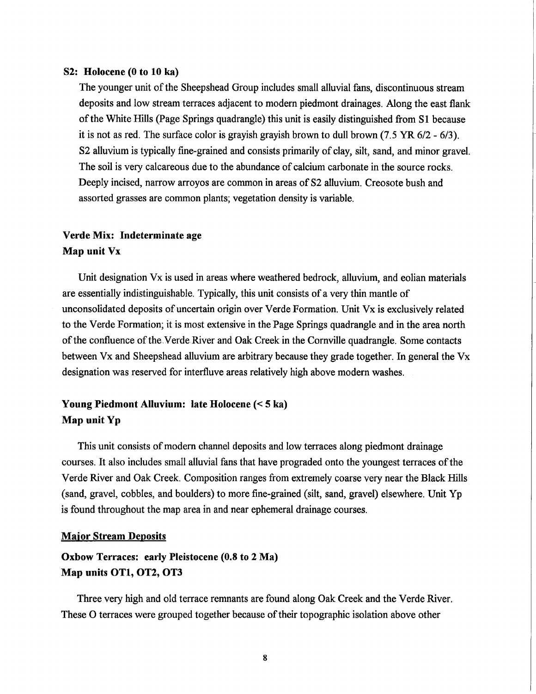### S2: Holocene (0 to 10 ka)

The younger unit of the Sheepshead Group includes small alluvial fans, discontinuous stream deposits and low stream terraces adjacent to modern piedmont drainages. Along the east flank: of the White Hills (Page Springs quadrangle) this unit is easily distinguished from S1 because it is not as red. The surface color is grayish grayish brown to dull brown (7.5 YR 6/2 - 6/3). S2 alluvium is typically fine-grained and consists primarily of clay, silt, sand, and minor gravel. The soil is very calcareous due to the abundance of calcium carbonate in the source rocks. Deeply incised, narrow arroyos are common in areas of S2 alluvium. Creosote bush and assorted grasses are common plants; vegetation density is variable.

# Verde Mix: Indeterminate age Map unit Vx

Unit designation Vx is used in areas where weathered bedrock, alluvium, and eolian materials are essentially indistinguishable. Typically, this unit consists of a very thin mantle of unconsolidated deposits of uncertain origin over Verde Formation. Unit Vx is exclusively related to the Verde Formation; it is most extensive in the Page Springs quadrangle and in the area north ofthe confluence ofthe Verde River and OakCreek in the Cornville quadrangle. Some contacts between Vx and Sheepshead alluvium are arbitrary because they grade together. In general the Vx designation was reserved for interfluve areas relatively high above modern washes.

# Young Piedmont Alluvium: late Holocene  $($  < 5 ka) Map unitYp

This unit consists of modern channel deposits and low terraces along piedmont drainage courses. It also includes small alluvial fans that have prograded onto the youngest terraces ofthe Verde River and Oak Creek. Composition ranges from extremely coarse very near the Black Hills (sand, gravel, cobbles, and boulders) to more fine-grained (silt, sand, gravel) elsewhere. Unit Yp is found throughout the map area in and near ephemeral drainage courses.

### Major Stream Deposits

# Oxbow Terraces: early Pleistocene (0.8 to 2 Ma) Map units OT1, OT2, OT3

Three very high and old terrace remnants are found along Oak Creek and the Verde River. These O terraces were grouped together because of their topographic isolation above other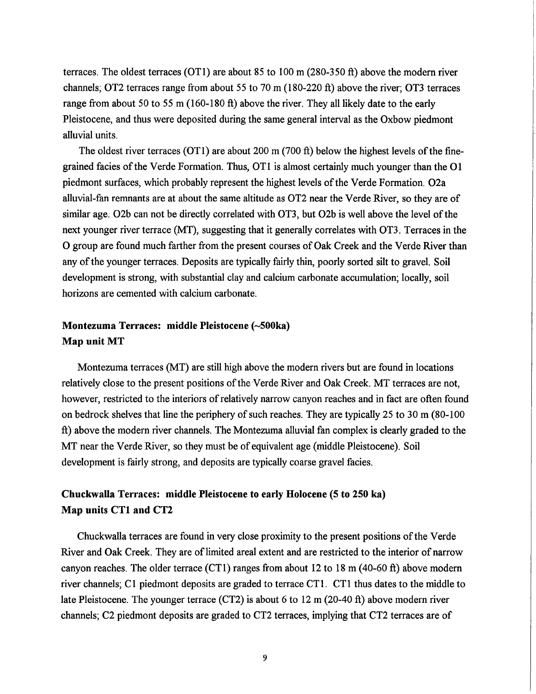terraces. The oldest terraces (OTl) are about 85 to 100 m (280-350 ft) above the modem river channels; OT2 terraces range from about 55 to 70 m (180-220 ft) above the river; OT3 terraces range from about 50 to 55 m (160-180 ft) above the river. They all likely date to the early Pleistocene, and thus were deposited during the same general interval as the Oxbow piedmont alluvial units.

The oldest river terraces (OT1) are about 200 m (700 ft) below the highest levels of the finegrained facies of the Verde Formation. Thus, OT1 is almost certainly much younger than the O1 piedmont surfaces, which probably represent the highest levels ofthe Verde Formation. 02a alluvial-fan remnants are at about the same altitude as OT2 near the Verde River, so they are of similar age. O2b can not be directly correlated with OT3, but O2b is well above the level of the next younger river terrace (MT), suggesting that it generally correlates with OT3. Terraces in the O group are found much farther from the present courses of Oak Creek and the Verde River than any of the younger terraces. Deposits are typically fairly thin, poorly sorted silt to gravel. Soil development is strong, with substantial clay and calcium carbonate accumulation; locally, soil horizons are cemented with calcium carbonate.

# Montezuma Terraces: middle Pleistocene (~500ka) Map unitMT

Montezuma terraces (MT) are still high above the modern rivers but are found in locations relatively close to the present positions of the Verde River and Oak Creek. MT terraces are not, however, restricted to the interiors of relatively narrow canyon reaches and in fact are often found on bedrock shelves that line the periphery of such reaches. They are typically 25 to 30 m (80-100) ft) above the modern river channels. The Montezuma alluvial fan complex is clearly graded to the MT near the Verde River, so they must be of equivalent age (middle Pleistocene). Soil development is fairly strong, and deposits are typically coarse gravel facies.

# Chuckwalla Terraces: middle Pleistocene to early Holocene (5 to 250 ka) Map units CTI and CT2

Chuckwalla terraces are found in very close proximity to the present positions of the Verde River and Oak Creek. They are of limited areal extent and are restricted to the interior of narrow canyon reaches. The older terrace (CT1) ranges from about 12 to 18 m (40-60 ft) above modern river channels; C1 piedmont deposits are graded to terrace CT1. CT1 thus dates to the middle to late Pleistocene. The younger terrace (CT2) is about 6 to 12 m (20-40 ft) above modern river channels; C2 piedmont deposits are graded to CT2 terraces, implying that CT2 terraces are of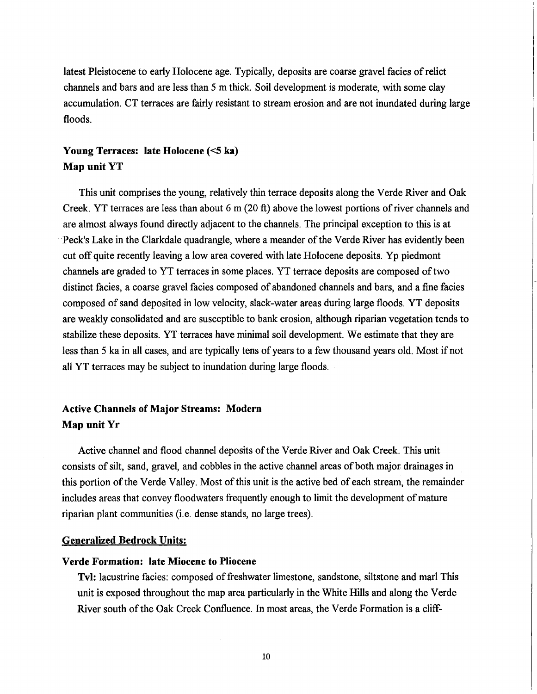latest Pleistocene to early Holocene age. Typically, deposits are coarse gravel facies ofrelict channels and bars and are less than 5 m thick. Soil development is moderate, with some clay accumulation. CT terraces are fairly resistant to stream erosion and are not inundated during large floods.

# Young Terraces: late Holocene (<5 ka) Map unitYT

This unit comprises the young, relatively thin terrace deposits along the Verde River and Oak Creek. YT terraces are less than about 6 m (20 ft) above the lowest portions of river channels and are almost always found directly adjacent to the channels. The principal exception to this is at Peck's Lake in the Clarkdale quadrangle, where a meander of the Verde River has evidently been cut off quite recently leaving a low area covered with late Holocene deposits. Yp piedmont channels are graded to YT terraces in some places. YT terrace deposits are composed of two distinct facies, a coarse gravel facies composed of abandoned channels and bars, and a fine facies composed of sand deposited in low velocity, slack-water areas during large floods. YT deposits are weakly consolidated and are susceptible to bank erosion, although riparian vegetation tends to stabilize these deposits. YT terraces have minimal soil development. We estimate that they are less than 5 ka in all cases, and are typically tens of years to a few thousand years old. Most if not all YT terraces may be subject to inundation during large floods.

# Active Channels of Major Streams: Modern Map unit Yr

Active channel and flood channel deposits of the Verde River and Oak Creek. This unit consists of silt, sand, gravel, and cobbles in the active channel areas of both major drainages in this portion of the Verde Valley. Most of this unit is the active bed of each stream, the remainder includes areas that convey floodwaters frequently enough to limit the development of mature riparian plant communities (i.e. dense stands, no large trees).

### Generalized Bedrock Units:

### Verde Formation: late Miocene to Pliocene

Tvl: lacustrine facies: composed of freshwater limestone, sandstone, siltstone and marl This unit is exposed throughout the map area particularly in the White Hills and along the Verde River south ofthe Oak Creek Confluence. In most areas, the Verde Formation is a cliff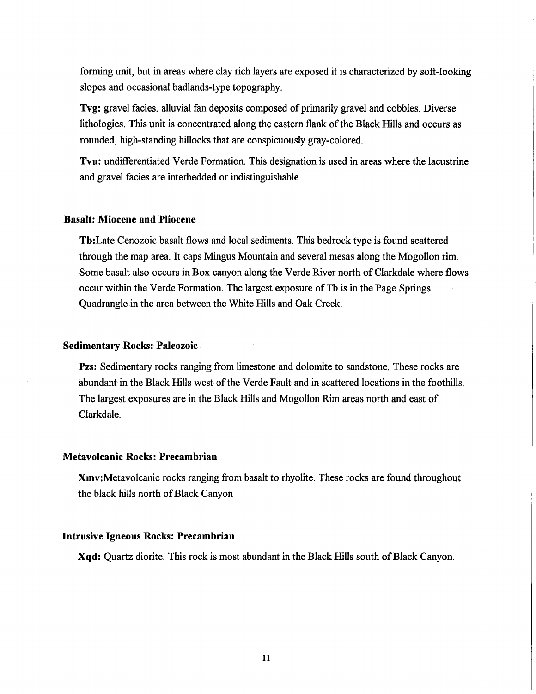forming unit, but in areas where clay rich layers are exposed it is characterized by soft-looking slopes and occasional badlands-type topography.

Tvg: gravel facies. alluvial fan deposits composed of primarily gravel and cobbles. Diverse lithologies. This unit is concentrated along the eastern flank of the Black Hills and occurs as rounded, high-standing hillocks that are conspicuously gray-colored.

Tvu: undifferentiated Verde Formation. This designation is used in areas where the lacustrine and gravel facies are interbedded or indistinguishable.

# Basalt: Miocene and Pliocene

Tb:Late Cenozoic basalt flows and local sediments. This bedrock type is found scattered through the map area. It caps Mingus Mountain and several mesas along the Mogollon rim. Some basalt also occurs in Box canyon along the Verde River north of Clarkdale where flows occur within the Verde Formation. The largest exposure of Tb is in the Page Springs Quadrangle in the area between the White Hills and Oak Creek.

#### Sedimentary Rocks: Paleozoic

Pzs: Sedimentary rocks ranging from limestone and dolomite to sandstone. These rocks are abundant in the Black Hills west of the Verde Fault and in scattered locations in the foothills. The largest exposures are in the Black Hills and Mogollon Rim areas north and east of Clarkdale.

#### Metavolcanic Rocks: Precambrian

Xmv:Metavolcanic rocks ranging from basalt to rhyolite. These rocks are found throughout the black hills north of Black Canyon

#### Intrusive Igneous Rocks: Precambrian

Xqd: Quartz diorite. This rock is most abundant in the Black Hills south of Black Canyon.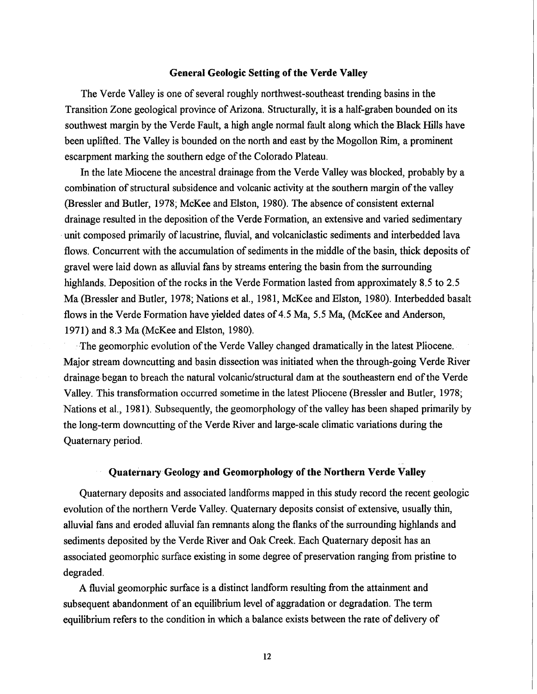### **General Geologic Setting** of the **Verde Valley**

The Verde Valley is one of several roughly northwest-southeast trending basins in the Transition Zone geological province of Arizona. Structurally, it is a half-graben bounded on its southwest margin by the Verde Fault, a high angle normal fault along which the Black Hills have been uplifted. The Valley is bounded on the north and east by the Mogollon Rim, a prominent escarpment marking the southern edge of the Colorado Plateau.

In the late Miocene the ancestral drainage from the Verde Valley was blocked, probably by a combination of structural subsidence and volcanic activity at the southern margin of the valley (Bressler and Butler, 1978; McKee and Elston, 1980). The absence of consistent external drainage resulted in the deposition of the Verde Formation, an extensive and varied sedimentary unit composed primarily of lacustrine, fluvial, and volcaniclastic sediments and interbedded lava flows. Concurrent with the accumulation of sediments in the middle of the basin, thick deposits of gravel were laid down as alluvial fans by streams entering the basin from the surrounding highlands. Deposition of the rocks in the Verde Formation lasted from approximately 8.5 to 2.5 Ma (Bressler and Butler, 1978; Nations et aI., 1981, McKee and Elston, 1980). Interbedded basalt flows in the Verde Formation have yielded dates of 4.5 Ma, 5.5 Ma, (McKee and Anderson, 1971) and 8.3 Ma (McKee and Elston, 1980).

The geomorphic evolution of the Verde Valley changed dramatically in the latest Pliocene. Major stream downcutting and basin dissection was initiated when the through-going Verde River drainage began to breach the natural volcanic/structural dam at the southeastern end ofthe Verde Valley. This transformation occurred sometime in the latest Pliocene (Bressler and Butler, 1978; Nations et al., 1981). Subsequently, the geomorphology of the valley has been shaped primarily by the long-term downcutting of the Verde River and large-scale climatic variations during the Quaternary period.

### Quaternary Geology and **Geomorphology** of the **Northern** Verde Valley

Quaternary deposits and associated landforms mapped in this study record the recent geologic evolution of the northern Verde Valley. Quaternary deposits consist of extensive, usually thin, alluvial fans and eroded alluvial fan remnants along the flanks of the surrounding highlands and sediments deposited by the Verde River and Oak Creek. Each Quaternary deposit has an associated geomorphic surface existing in some degree of preservation ranging from pristine to degraded.

A fluvial geomorphic surface is a distinct landform resulting from the attainment and subsequent abandonment of an equilibrium level of aggradation or degradation. The term equilibrium refers to the condition in which a balance exists between the rate of delivery of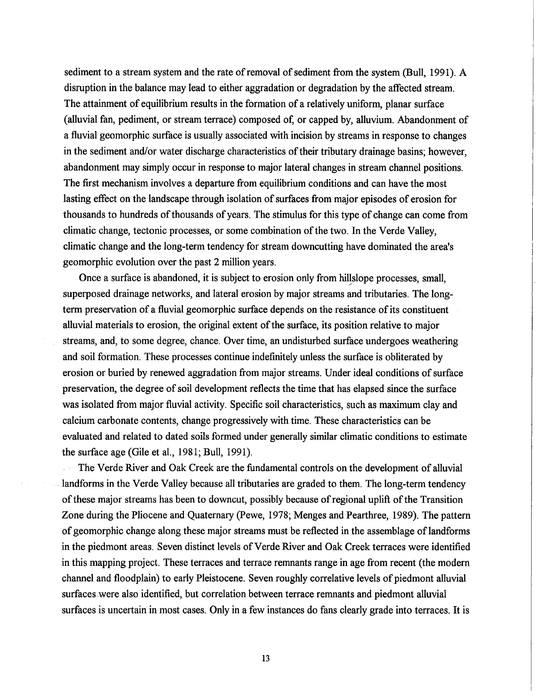sediment to a stream system and the rate of removal of sediment from the system (Bull, 1991). A disruption in the balance may lead to either aggradation or degradation by the affected stream. The attainment of equilibrium results in the formation of a relatively uniform, planar surface (alluvial fan, pediment, or stream terrace) composed of, or capped by, alluvium. Abandonment of a fluvial geomorphic surface is usually associated with incision by streams in response to changes in the sediment and/or water discharge characteristics of their tributary drainage basins; however, abandonment may simply occur in response to major lateral changes in stream channel positions. The first mechanism involves a departure from equilibrium conditions and can have the most lasting effect on the landscape through isolation of surfaces from major episodes of erosion for thousands to hundreds of thousands of years. The stimulus for this type of change can come from climatic change, tectonic processes, or some combination of the two. In the Verde Valley, climatic change and the long-term tendency for stream downcutting have dominated the area's geomorphic evolution over the past 2 million years.

Once a surface is abandoned, it is subject to erosion only from hillslope processes, small, ./ superposed drainage networks, and lateral erosion by major streams and tributaries. The longterm preservation of a fluvial geomorphic surface depends on the resistance of its constituent alluvial materials to erosion, the original extent of the surface, its position relative to major streams, and, to some degree, chance. Over time, an undisturbed surface undergoes weathering and soil formation. These processes continue indefinitely unless the surface is obliterated by erosion or buried by renewed aggradation from major streams. Under ideal conditions of surface preservation, the degree of soil development reflects the time that has elapsed since the surface was isolated from major fluvial activity. Specific soil characteristics, such as maximum clay and calcium carbonate contents, change progressively with time. These characteristics can be evaluated and related to dated soils formed under generally similar climatic conditions to estimate the surface age (Gile et aI., 1981; Bull, 1991).

The Verde River and Oak Creek are the fundamental controls on the development of alluvial landforms in the Verde Valley because all tributaries are graded to them. The long-term tendency of these major streams has been to downcut, possibly because of regional uplift of the Transition Zone during the Pliocene and Quaternary (pewe, 1978; Menges and Pearthree, 1989). The pattern of geomorphic change along these major streams must be reflected in the assemblage of landforms in the piedmont areas. Seven distinct levels of Verde River and Oak Creek terraces were identified in this mapping project. These terraces and terrace remnants range in age from recent (the modern channel and floodplain) to early Pleistocene. Seven roughly correlative levels of piedmont alluvial surfaces were also identified, but correlation between terrace remnants and piedmont alluvial surfaces is uncertain in most cases. Only in a few instances do fans clearly grade into terraces. It is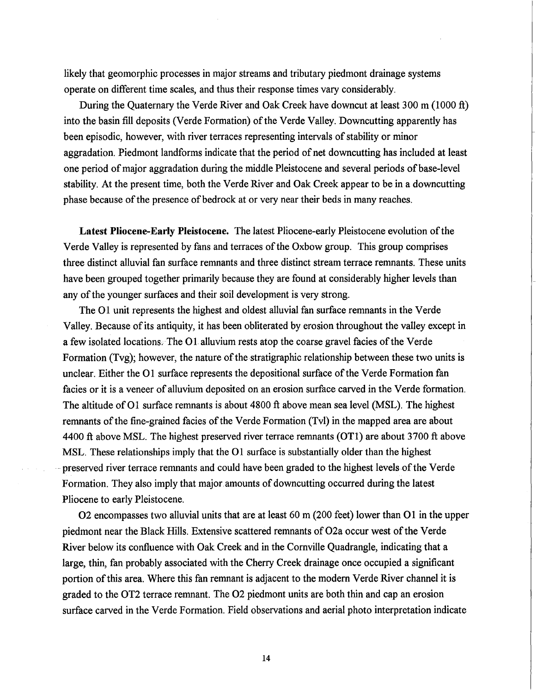likely that geomorphic processes in major streams and tributary piedmont drainage systems operate on different time scales, and thus their response times vary considerably.

During the Quaternary the Verde River and Oak Creek have downcut at least 300 m (1000 ft) into the basin fill deposits (Verde Formation) of the Verde Valley. Downcutting apparently has been episodic, however, with river terraces representing intervals of stability or minor aggradation. Piedmont landforms indicate that the period of net downcutting has included at least one period of major aggradation during the middle Pleistocene and several periods of base-level stability. At the present time, both the Verde River and Oak Creek appear to be in a downcutting phase because of the presence of bedrock at or very near their beds in many reaches.

**Latest Pliocene-Early Pleistocene.** The latest Pliocene-early Pleistocene evolution ofthe Verde Valley is represented by fans and terraces of the Oxbow group. This group comprises three distinct alluvial fan surface remnants and three distinct stream terrace remnants. These units have been grouped together primarily because they are found at considerably higher levels than any of the younger surfaces and their soil development is very strong.

The 01 unit represents the highest and oldest alluvial fan surface remnants in the Verde Valley. Because ofits antiquity, it has been obliterated by erosion throughout the valley except in a few isolated locations. The O1 alluvium rests atop the coarse gravel facies of the Verde Formation (Tvg); however, the nature of the stratigraphic relationship between these two units is unclear. Either the O1 surface represents the depositional surface of the Verde Formation fan facies or it is a veneer of alluvium deposited on an erosion surface carved in the Verde formation. The altitude of 01 surface remnants is about 4800 ft above mean sea level (MSL). The highest remnants of the fine-grained facies of the Verde Formation (Tvl) in the mapped area are about 4400 ft above MSL. The highest preserved river terrace remnants (OT1) are about 3700 ft above MSL. These relationships imply that the 01 surface is substantially older than the highest preserved river terrace remnants and could have been graded to the highest levels of the Verde Formation. They also imply that major. amounts of downcutting occurred during the latest Pliocene to early Pleistocene.

02 encompasses two alluvial units that are at least 60 m (200 feet) lower than 01 in the upper piedmont near the Black Hills. Extensive scattered remnants of O2a occur west of the Verde River below its confluence with Oak Creek and in the Cornville Quadrangle, indicating that a large, thin, fan probably associated with the Cherry Creek drainage once occupied a significant portion of this area. Where this fan remnant is adjacent to the modern Verde River channel it is graded to the OT2 terrace remnant. The 02 piedmont units are both thin and cap an erosion surface carved in the Verde Formation. Field observations and aerial photo interpretation indicate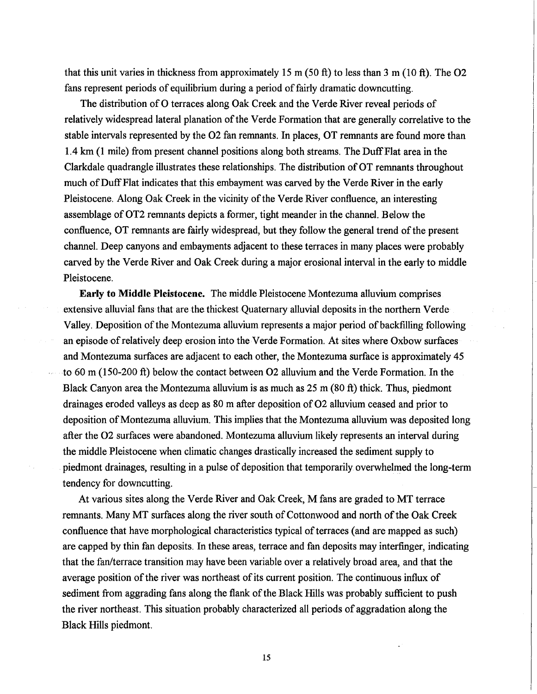that this unit varies in thickness from approximately 15 m (50 ft) to less than 3 m (10 ft). The 02 fans represent periods of equilibrium during a period of fairly dramatic downcutting.

The distribution of 0 terraces along Oak Creek and the Verde River reveal periods of relatively widespread lateral planation of the Verde Formation that are generally correlative to the stable intervals represented by the 02 fan remnants. In places, OT remnants are found more than 1.4 km (1 mile) from present channel positions along both streams. The DuffFlat area in the Clarkdale quadrangle illustrates these relationships. The distribution of OT remnants throughout much of Duff Flat indicates that this embayment was carved by the Verde River in the early Pleistocene. Along Oak Creek in the vicinity of the Verde River confluence, an interesting assemblage of OT2 remnants depicts a former, tight meander in the channel. Below the confluence, OT remnants are fairly widespread, but they follow the general trend of the present channel. Deep canyons and embayments adjacent to these terraces in many places were probably carved by the Verde River and Oak Creek during a major erosional interval in the early to middle Pleistocene.

**Early to Middle Pleistocene.** The middle Pleistocene Montezuma alluvium comprises extensive alluvial fans that are the thickest Quaternary alluvial deposits in the northern Verde Valley. Deposition of the Montezuma alluvium represents a major period of backfilling following an episode of relatively deep erosion into the Verde Formation. At sites where Oxbow surfaces and Montezuma surfaces are adjacent to each other, the Montezuma surface is approximately 45 to 60 m (150-200 ft) belowthe contact between 02 alluvium and the Verde Formation. In the Black Canyon area the Montezuma alluvium is as much as 25 m (80 ft) thick. Thus, piedmont drainages eroded valleys as deep as 80 m after deposition of 02 alluvium ceased and prior to deposition of Montezuma alluvium. This implies that the Montezuma alluvium was deposited long after the 02 surfaces were abandoned. Montezuma alluvium likely represents an interval during the middle Pleistocene when climatic changes drastically increased the sediment supply to piedmont drainages, resulting in a pulse of deposition that temporarily overwhelmed the long-term tendency for downcutting.

At various sites along the Verde River and Oak Creek, M fans are graded to MT terrace remnants. Many MT surfaces along the river south of Cottonwood and north of the Oak Creek confluence that have morphological characteristics typical of terraces (and are mapped as such) are capped by thin fan deposits. In these areas, terrace and fan deposits may interfinger, indicating that the fan/terrace transition may have been variable over a relatively broad area, and that the average position of the river was northeast of its current position. The continuous influx of sediment from aggrading fans along the flank of the Black Hills was probably sufficient to push the river northeast. This situation probably characterized all periods of aggradation along the Black Hills piedmont.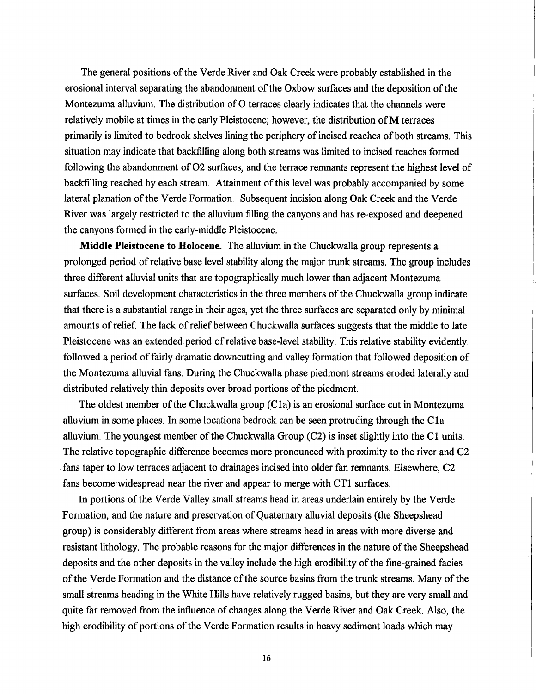The general positions of the Verde River and Oak Creek were probably established in the erosional interval separating the abandonment of the Oxbow surfaces and the deposition of the Montezuma alluvium. The distribution of 0 terraces clearly indicates that the channels were relatively mobile at times in the early Pleistocene; however, the distribution of M terraces primarily is limited to bedrock shelves lining the periphery ofincised reaches of both streams. This situation may indicate that backfilling along both streams was limited to incised reaches formed following the abandonment of 02 surfaces, and the terrace remnants represent the highest level of backfilling reached by each stream. Attainment of this level was probably accompanied by some lateral planation of the Verde Formation. Subsequent incision along Oak Creek and the Verde River was largely restricted to the alluvium filling the canyons and has re-exposed and deepened the canyons formed in the early-middle Pleistocene.

**Middle Pleistocene to Holocene.** The alluvium in the Chuckwalla group represents a prolonged period ofrelative base level stability along the major trunk streams. The group includes three different alluvial units that are topographically much lower than adjacent Montezuma surfaces. Soil development characteristics in the three members ofthe Chuckwalla group indicate that there is a substantial range in their ages, yet the three surfaces are separated only by minimal amounts of relief. The lack of relief between Chuckwalla surfaces suggests that the middle to late Pleistocene was an extended period of relative base-level stability. This relative stability evidently followed a period of fairly dramatic downcutting and valley formation that followed deposition of the Montezuma alluvial fans. During the Chuckwalla phase piedmont streams eroded laterally and distributed relatively thin deposits over broad portions of the piedmont.

The oldest member of the Chuckwalla group  $(C1a)$  is an erosional surface cut in Montezuma alluvium in some places. In some locations bedrock can be seen protruding through the CIa alluvium. The youngest member of the Chuckwalla Group  $(C2)$  is inset slightly into the C1 units. The relative topographic difference becomes more pronounced with proximity to the river and C2 fans taper to low terraces adjacent to drainages incised into older fan remnants. Elsewhere, C2 fans become widespread near the river and appear to merge with CTI surfaces.

In portions of the Verde Valley small streams head in areas underlain entirely by the Verde Formation, and the nature and preservation of Quaternary alluvial deposits (the Sheepshead group) is considerably different from areas where streams head in areas with more diverse and resistant lithology. The probable reasons for the major differences in the nature of the Sheepshead deposits and the other deposits in the valley include the high erodibility ofthe fine-grained facies of the Verde Formation and the distance of the source basins from the trunk streams. Many of the small streams heading in the White Hills have relatively rugged basins, but they are very small and quite far removed from the influence of changes along the Verde River and Oak Creek. Also, the high erodibility of portions of the Verde Formation results in heavy sediment loads which may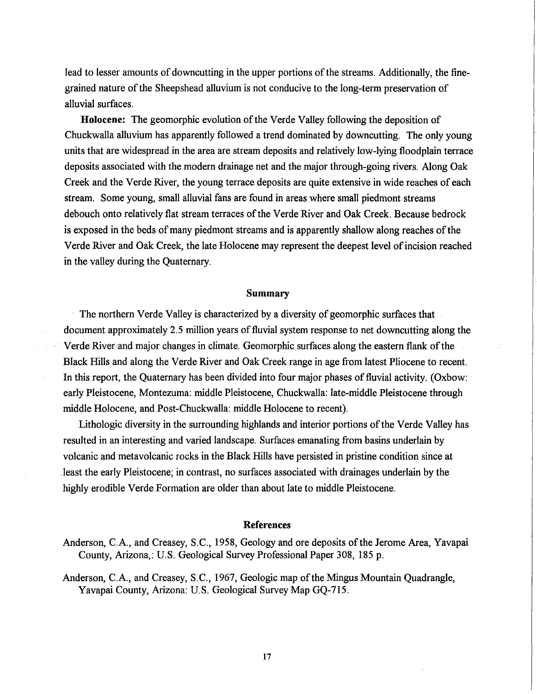lead to lesser amounts of downcutting in the upper portions of the streams. Additionally, the finegrained nature of the Sheepshead alluvium is not conducive to the long-term preservation of alluvial surfaces.

**Holocene:** The geomorphic evolution of the Verde Valley following the deposition of Chuckwalla alluvium has apparently followed a trend dominated by downcutting. The only young units that are widespread in the area are stream deposits and relatively low-lying floodplain terrace deposits associated with the modern drainage net and the major through-going rivers. Along Oak Creek and the Verde River, the young terrace deposits are quite extensive in wide reaches of each stream. Some young, small alluvial fans are found in areas where small piedmont streams debouch onto relatively flat stream terraces of the Verde River and Oak Creek. Because bedrock is exposed in the beds of many piedmont streams and is apparently shallow along reaches of the Verde River and Oak Creek, the late Holocene may represent the deepest level ofincision reached in the valley during the Quaternary.

#### **Summary**

The northern Verde Valley is characterized by a diversity of geomorphic surfaces that document approximately 2.5 million years of fluvial system response to net downcutting along the Verde River and major changes in climate. Geomorphic surfaces along the eastern flank of the Black Hills and along the Verde River and Oak Creek range in age from latest Pliocene to recent. In this report, the Quaternary has been divided into four major phases offluvial activity. (Oxbow: early Pleistocene, Montezuma: middle Pleistocene, Chuckwalla: late-middle Pleistocene through middle Holocene, and Post-Chuckwalla: middle Holocene to recent).

Lithologic diversity in the surrounding highlands and interior portions of the Verde Valley has resulted in an interesting and varied landscape. Surfaces emanating from basins underlain by volcanic and metavolcanic rocks in the Black Hills have persisted in pristine condition since at Jeast.the early Pleistocene; in contrast, no surfaces associated with drainages underlain by the highly erodible Verde Formation are older than about late to middle Pleistocene.

# **References**

Anderson, C.A., and Creasey, S.C., 1958, Geology and ore deposits of the Jerome Area, Yavapai County, Arizona,: U.S. Geological Survey Professional Paper 308, 185 p.

Anderson, C.A., and Creasey, S.C., 1967, Geologic map of the Mingus Mountain Quadrangle, Yavapai County, Arizona: U.S. Geological Survey Map GQ-715.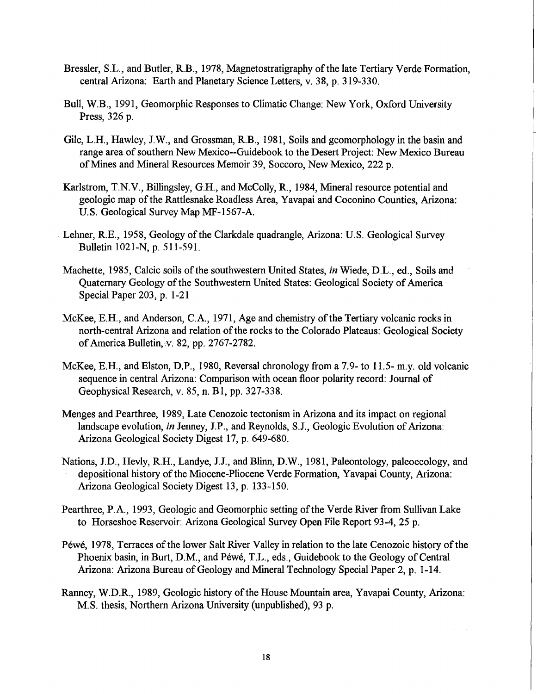- Bressler, S.L., and Butler, R.B., 1978, Magnetostratigraphy of the late Tertiary Verde Formation, central Arizona: Earth and Planetary Science Letters, v. 38, p. 319-330.
- Bull, W.B., 1991, Geomorphic Responses to Climatic Change: New York, Oxford University Press, 326 p.
- Gile, L.H., Hawley, J.W., and Grossman, R.B., 1981, Soils and geomorphology in the basin and range area of southern New Mexico--Guidebook to the Desert Project: New Mexico Bureau ofMines and Mineral Resources Memoir 39, Soccoro, New Mexico, 222 p.
- Karlstrom, T.N.V., Billingsley, G.H., and McColly, R, 1984, Mineral resource potential and geologic map of the Rattlesnake Roadless Area, Yavapai and Coconino Counties, Arizona: U.S. Geological Survey Map MF-1567-A.
- Lehner, R.E., 1958, Geology of the Clarkdale quadrangle, Arizona: U.S. Geological Survey Bulletin 1021-N, p. 511-591.
- Machette, 1985, Calcic soils of the southwestern United States, in Wiede, D.L., ed., Soils and Quaternary Geology of the Southwestern United States: Geological Society of America Special Paper 203, p. 1-21
- McKee, E.H., and Anderson, C.A., 1971, Age and chemistry of the Tertiary volcanic rocks in north-central Arizona and relation of the rocks to the Colorado Plateaus: Geological Society of America Bulletin, v. 82, pp. 2767-2782.
- McKee, E.H., and Elston, D.P., 1980, Reversal chronology from a 7.9- to 11.5- m.y. old volcanic sequence in central Arizona: Comparison with ocean floor polarity record: Journal of Geophysical Research, v. 85, n. Bl, pp. 327-338.
- Menges and Pearthree, 1989, Late Cenozoic tectonism in Arizona and its impact on regional landscape evolution, *in* Jenney, J.P., and Reynolds, S.J., Geologic Evolution of Arizona: Arizona Geological Society Digest 17, p. 649-680.
- Nations, J.D., Hevly, R.H., Landye, J.J., and Blinn, D.W., 1981, Paleontology, paleoecology, and depositional history of the Miocene-Pliocene Verde Formation, Yavapai County, Arizona: Arizona Geological Society Digest 13, p. 133-150.
- Pearthree, P.A., 1993, Geologic and Geomorphic setting of the Verde River from Sullivan Lake to Horseshoe Reservoir: Arizona Geological Survey Open File Report 93-4, 25 p.
- Péwé, 1978, Terraces of the lower Salt River Valley in relation to the late Cenozoic history of the Phoenix basin, in Burt, D.M., and Péwé, T.L., eds., Guidebook to the Geology of Central Arizona: Arizona Bureau of Geology and Mineral Technology Special Paper 2, p. 1-14.
- Ranney, W.D.R., 1989, Geologic history of the House Mountain area, Yavapai County, Arizona: M.S. thesis, Northern Arizona University (unpublished), 93 p.